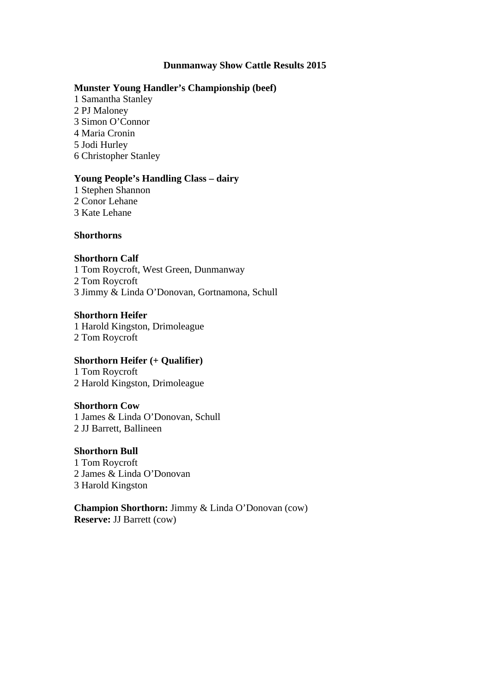#### **Dunmanway Show Cattle Results 2015**

#### **Munster Young Handler's Championship (beef)**

1 Samantha Stanley 2 PJ Maloney 3 Simon O'Connor 4 Maria Cronin 5 Jodi Hurley 6 Christopher Stanley

#### **Young People's Handling Class – dairy**

1 Stephen Shannon 2 Conor Lehane 3 Kate Lehane

#### **Shorthorns**

#### **Shorthorn Calf**

1 Tom Roycroft, West Green, Dunmanway 2 Tom Roycroft 3 Jimmy & Linda O'Donovan, Gortnamona, Schull

#### **Shorthorn Heifer**

1 Harold Kingston, Drimoleague 2 Tom Roycroft

#### **Shorthorn Heifer (+ Qualifier)**

1 Tom Roycroft 2 Harold Kingston, Drimoleague

#### **Shorthorn Cow**

1 James & Linda O'Donovan, Schull 2 JJ Barrett, Ballineen

#### **Shorthorn Bull**

1 Tom Roycroft 2 James & Linda O'Donovan 3 Harold Kingston

**Champion Shorthorn:** Jimmy & Linda O'Donovan (cow) **Reserve:** JJ Barrett (cow)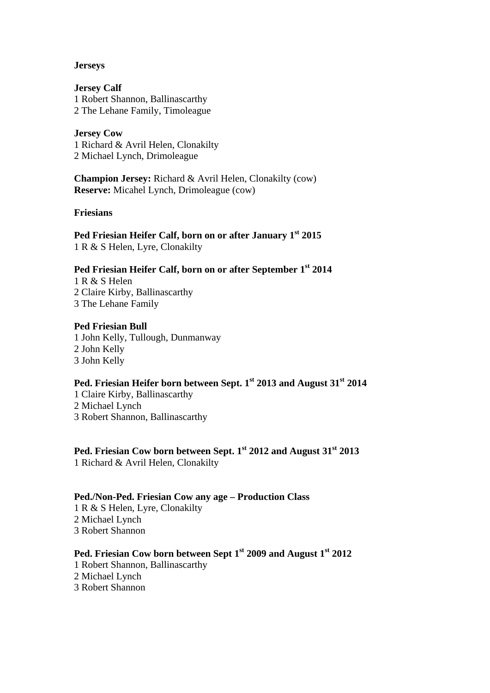#### **Jerseys**

**Jersey Calf** 1 Robert Shannon, Ballinascarthy 2 The Lehane Family, Timoleague

#### **Jersey Cow**

1 Richard & Avril Helen, Clonakilty 2 Michael Lynch, Drimoleague

**Champion Jersey:** Richard & Avril Helen, Clonakilty (cow) **Reserve:** Micahel Lynch, Drimoleague (cow)

**Friesians** 

#### Ped Friesian Heifer Calf, born on or after January 1<sup>st</sup> 2015 1 R & S Helen, Lyre, Clonakilty

## **Ped Friesian Heifer Calf, born on or after September 1st 2014**

1 R & S Helen 2 Claire Kirby, Ballinascarthy 3 The Lehane Family

#### **Ped Friesian Bull**

1 John Kelly, Tullough, Dunmanway 2 John Kelly 3 John Kelly

## Ped. Friesian Heifer born between Sept. 1<sup>st</sup> 2013 and August 31<sup>st</sup> 2014

1 Claire Kirby, Ballinascarthy 2 Michael Lynch 3 Robert Shannon, Ballinascarthy

# Ped. Friesian Cow born between Sept. 1<sup>st</sup> 2012 and August 31<sup>st</sup> 2013

1 Richard & Avril Helen, Clonakilty

#### **Ped./Non-Ped. Friesian Cow any age – Production Class**

1 R & S Helen, Lyre, Clonakilty 2 Michael Lynch 3 Robert Shannon

## **Ped. Friesian Cow born between Sept 1st 2009 and August 1st 2012**

1 Robert Shannon, Ballinascarthy

- 2 Michael Lynch
- 3 Robert Shannon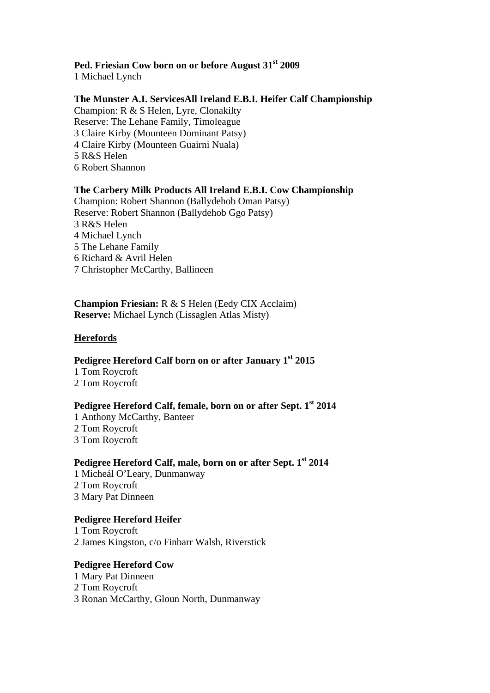## **Ped. Friesian Cow born on or before August 31st 2009**

1 Michael Lynch

## **The Munster A.I. ServicesAll Ireland E.B.I. Heifer Calf Championship**

Champion: R & S Helen, Lyre, Clonakilty Reserve: The Lehane Family, Timoleague 3 Claire Kirby (Mounteen Dominant Patsy) 4 Claire Kirby (Mounteen Guairni Nuala) 5 R&S Helen 6 Robert Shannon

## **The Carbery Milk Products All Ireland E.B.I. Cow Championship**

Champion: Robert Shannon (Ballydehob Oman Patsy) Reserve: Robert Shannon (Ballydehob Ggo Patsy) 3 R&S Helen 4 Michael Lynch 5 The Lehane Family 6 Richard & Avril Helen 7 Christopher McCarthy, Ballineen

**Champion Friesian:** R & S Helen (Eedy CIX Acclaim) **Reserve:** Michael Lynch (Lissaglen Atlas Misty)

## **Herefords**

## **Pedigree Hereford Calf born on or after January 1st 2015**

1 Tom Roycroft 2 Tom Roycroft

## **Pedigree Hereford Calf, female, born on or after Sept. 1st 2014**

1 Anthony McCarthy, Banteer 2 Tom Roycroft 3 Tom Roycroft

## Pedigree Hereford Calf, male, born on or after Sept. 1<sup>st</sup> 2014

1 Micheál O'Leary, Dunmanway 2 Tom Roycroft 3 Mary Pat Dinneen

## **Pedigree Hereford Heifer**

1 Tom Roycroft 2 James Kingston, c/o Finbarr Walsh, Riverstick

## **Pedigree Hereford Cow**

1 Mary Pat Dinneen 2 Tom Roycroft 3 Ronan McCarthy, Gloun North, Dunmanway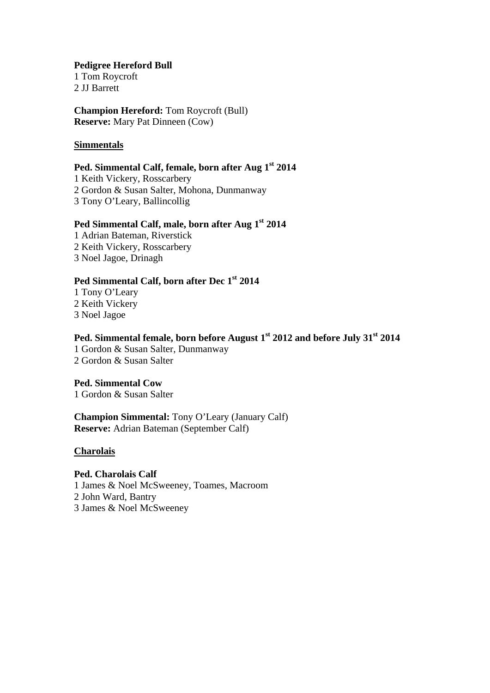#### **Pedigree Hereford Bull**

1 Tom Roycroft 2 JJ Barrett

**Champion Hereford:** Tom Roycroft (Bull) **Reserve:** Mary Pat Dinneen (Cow)

## **Simmentals**

## **Ped. Simmental Calf, female, born after Aug 1st 2014**

1 Keith Vickery, Rosscarbery 2 Gordon & Susan Salter, Mohona, Dunmanway 3 Tony O'Leary, Ballincollig

# Ped Simmental Calf, male, born after Aug 1<sup>st</sup> 2014

1 Adrian Bateman, Riverstick 2 Keith Vickery, Rosscarbery

3 Noel Jagoe, Drinagh

## **Ped Simmental Calf, born after Dec 1st 2014**

1 Tony O'Leary 2 Keith Vickery 3 Noel Jagoe

## **Ped. Simmental female, born before August 1st 2012 and before July 31st 2014**

1 Gordon & Susan Salter, Dunmanway 2 Gordon & Susan Salter

## **Ped. Simmental Cow**

1 Gordon & Susan Salter

**Champion Simmental:** Tony O'Leary (January Calf) **Reserve:** Adrian Bateman (September Calf)

#### **Charolais**

## **Ped. Charolais Calf**

1 James & Noel McSweeney, Toames, Macroom 2 John Ward, Bantry 3 James & Noel McSweeney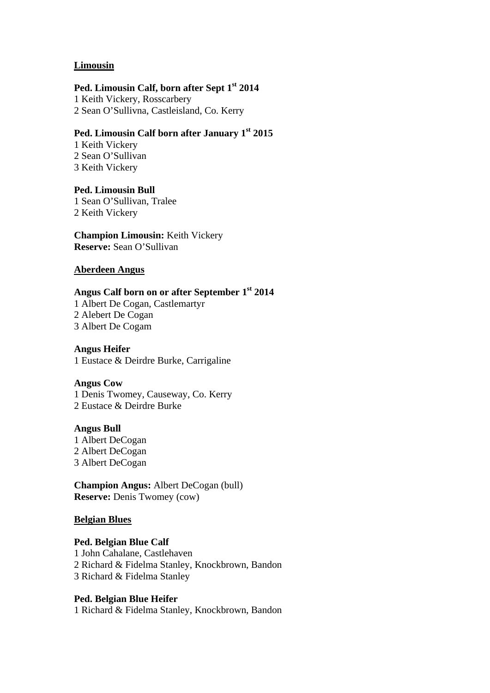#### **Limousin**

## Ped. Limousin Calf, born after Sept 1<sup>st</sup> 2014

1 Keith Vickery, Rosscarbery 2 Sean O'Sullivna, Castleisland, Co. Kerry

## **Ped. Limousin Calf born after January 1st 2015**

1 Keith Vickery 2 Sean O'Sullivan 3 Keith Vickery

# **Ped. Limousin Bull**

1 Sean O'Sullivan, Tralee 2 Keith Vickery

**Champion Limousin:** Keith Vickery **Reserve:** Sean O'Sullivan

## **Aberdeen Angus**

## **Angus Calf born on or after September 1st 2014**

1 Albert De Cogan, Castlemartyr 2 Alebert De Cogan 3 Albert De Cogam

## **Angus Heifer**

1 Eustace & Deirdre Burke, Carrigaline

#### **Angus Cow**

1 Denis Twomey, Causeway, Co. Kerry 2 Eustace & Deirdre Burke

#### **Angus Bull**

1 Albert DeCogan 2 Albert DeCogan 3 Albert DeCogan

**Champion Angus:** Albert DeCogan (bull) **Reserve:** Denis Twomey (cow)

## **Belgian Blues**

## **Ped. Belgian Blue Calf** 1 John Cahalane, Castlehaven 2 Richard & Fidelma Stanley, Knockbrown, Bandon 3 Richard & Fidelma Stanley

## **Ped. Belgian Blue Heifer**

1 Richard & Fidelma Stanley, Knockbrown, Bandon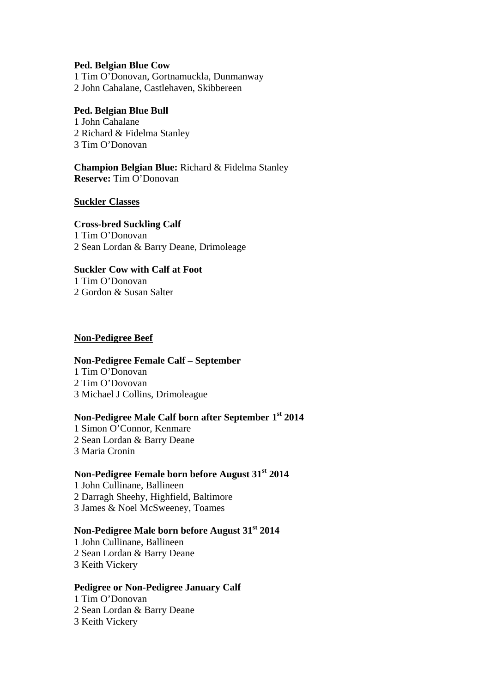#### **Ped. Belgian Blue Cow**

1 Tim O'Donovan, Gortnamuckla, Dunmanway 2 John Cahalane, Castlehaven, Skibbereen

#### **Ped. Belgian Blue Bull**

1 John Cahalane 2 Richard & Fidelma Stanley 3 Tim O'Donovan

## **Champion Belgian Blue:** Richard & Fidelma Stanley **Reserve:** Tim O'Donovan

#### **Suckler Classes**

**Cross-bred Suckling Calf** 1 Tim O'Donovan 2 Sean Lordan & Barry Deane, Drimoleage

#### **Suckler Cow with Calf at Foot**

1 Tim O'Donovan 2 Gordon & Susan Salter

#### **Non-Pedigree Beef**

#### **Non-Pedigree Female Calf – September**

1 Tim O'Donovan 2 Tim O'Dovovan 3 Michael J Collins, Drimoleague

## **Non-Pedigree Male Calf born after September 1st 2014**

1 Simon O'Connor, Kenmare 2 Sean Lordan & Barry Deane 3 Maria Cronin

## **Non-Pedigree Female born before August 31st 2014**

1 John Cullinane, Ballineen 2 Darragh Sheehy, Highfield, Baltimore 3 James & Noel McSweeney, Toames

## **Non-Pedigree Male born before August 31st 2014**

1 John Cullinane, Ballineen 2 Sean Lordan & Barry Deane 3 Keith Vickery

#### **Pedigree or Non-Pedigree January Calf**

1 Tim O'Donovan 2 Sean Lordan & Barry Deane 3 Keith Vickery